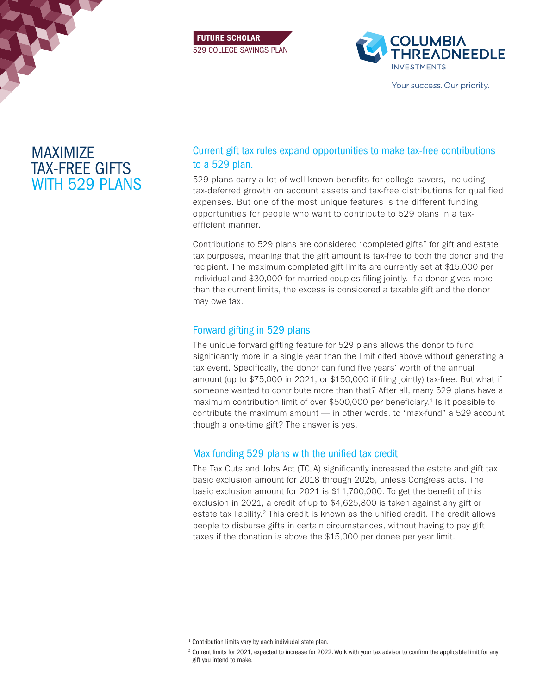





Your success. Our priority.

# MAXIMIZE TAX-FREE GIFTS WITH 529 PLANS

# Current gift tax rules expand opportunities to make tax-free contributions to a 529 plan.

529 plans carry a lot of well-known benefits for college savers, including tax-deferred growth on account assets and tax-free distributions for qualified expenses. But one of the most unique features is the different funding opportunities for people who want to contribute to 529 plans in a taxefficient manner.

Contributions to 529 plans are considered "completed gifts" for gift and estate tax purposes, meaning that the gift amount is tax-free to both the donor and the recipient. The maximum completed gift limits are currently set at \$15,000 per individual and \$30,000 for married couples filing jointly. If a donor gives more than the current limits, the excess is considered a taxable gift and the donor may owe tax.

### Forward gifting in 529 plans

The unique forward gifting feature for 529 plans allows the donor to fund significantly more in a single year than the limit cited above without generating a tax event. Specifically, the donor can fund five years' worth of the annual amount (up to \$75,000 in 2021, or \$150,000 if filing jointly) tax-free. But what if someone wanted to contribute more than that? After all, many 529 plans have a maximum contribution limit of over \$500,000 per beneficiary.1 Is it possible to contribute the maximum amount — in other words, to "max-fund" a 529 account though a one-time gift? The answer is yes.

# Max funding 529 plans with the unified tax credit

The Tax Cuts and Jobs Act (TCJA) significantly increased the estate and gift tax basic exclusion amount for 2018 through 2025, unless Congress acts. The basic exclusion amount for 2021 is \$11,700,000. To get the benefit of this exclusion in 2021, a credit of up to \$4,625,800 is taken against any gift or estate tax liability.<sup>2</sup> This credit is known as the unified credit. The credit allows people to disburse gifts in certain circumstances, without having to pay gift taxes if the donation is above the \$15,000 per donee per year limit.

<sup>1</sup> Contribution limits vary by each indiviudal state plan.

<sup>2</sup> Current limits for 2021, expected to increase for 2022. Work with your tax advisor to confirm the applicable limit for any gift you intend to make.